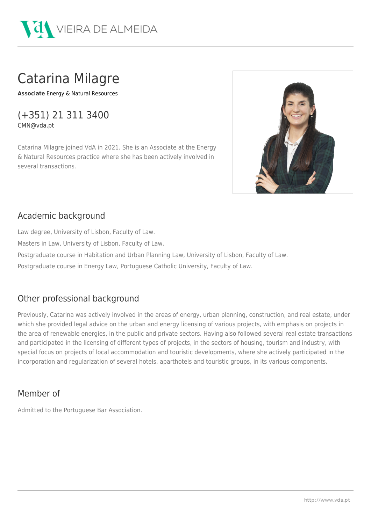

# Catarina Milagre

**Associate** [Energy & Natural Resources](http://html2pdf.api.softway.pt/en/expertise/practices/energy-natural-resources/20165/)

(+351) 21 311 3400 CMN@vda.pt

Catarina Milagre joined VdA in 2021. She is an Associate at the Energy & Natural Resources practice where she has been actively involved in several transactions.



## Academic background

Law degree, University of Lisbon, Faculty of Law.

Masters in Law, University of Lisbon, Faculty of Law.

Postgraduate course in Habitation and Urban Planning Law, University of Lisbon, Faculty of Law.

Postgraduate course in Energy Law, Portuguese Catholic University, Faculty of Law.

### Other professional background

Previously, Catarina was actively involved in the areas of energy, urban planning, construction, and real estate, under which she provided legal advice on the urban and energy licensing of various projects, with emphasis on projects in the area of renewable energies, in the public and private sectors. Having also followed several real estate transactions and participated in the licensing of different types of projects, in the sectors of housing, tourism and industry, with special focus on projects of local accommodation and touristic developments, where she actively participated in the incorporation and regularization of several hotels, aparthotels and touristic groups, in its various components.

#### Member of

Admitted to the Portuguese Bar Association.